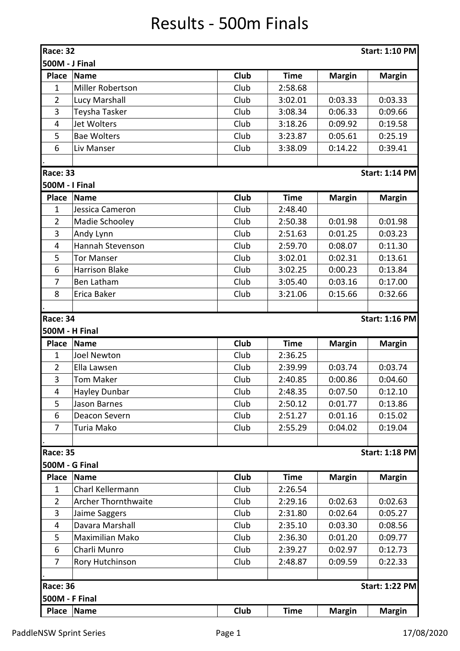## Results - 500m Finals

| Race: 32                                 |                                          |             |             |               | <b>Start: 1:10 PM</b> |  |  |  |  |
|------------------------------------------|------------------------------------------|-------------|-------------|---------------|-----------------------|--|--|--|--|
| 500M - J Final                           |                                          |             |             |               |                       |  |  |  |  |
| <b>Place</b>                             | Name                                     | Club        | <b>Time</b> | <b>Margin</b> | <b>Margin</b>         |  |  |  |  |
| 1                                        | Miller Robertson                         | Club        | 2:58.68     |               |                       |  |  |  |  |
| $\overline{2}$                           | Lucy Marshall                            | Club        | 3:02.01     | 0:03.33       | 0:03.33               |  |  |  |  |
| 3                                        | Teysha Tasker                            | Club        | 3:08.34     | 0:06.33       | 0:09.66               |  |  |  |  |
| 4                                        | Jet Wolters                              | Club        | 3:18.26     | 0:09.92       | 0:19.58               |  |  |  |  |
| 5                                        | <b>Bae Wolters</b>                       | Club        | 3:23.87     | 0:05.61       | 0:25.19               |  |  |  |  |
| 6                                        | Liv Manser                               | Club        | 3:38.09     | 0:14.22       | 0:39.41               |  |  |  |  |
|                                          |                                          |             |             |               |                       |  |  |  |  |
|                                          | <b>Race: 33</b><br><b>Start: 1:14 PM</b> |             |             |               |                       |  |  |  |  |
| <b>500M - I Final</b>                    |                                          |             |             |               |                       |  |  |  |  |
| <b>Place</b>                             | Name                                     | Club        | <b>Time</b> | <b>Margin</b> | <b>Margin</b>         |  |  |  |  |
| 1                                        | Jessica Cameron                          | Club        | 2:48.40     |               |                       |  |  |  |  |
| $\overline{2}$                           | Madie Schooley                           | Club        | 2:50.38     | 0:01.98       | 0:01.98               |  |  |  |  |
| 3                                        | Andy Lynn                                | Club        | 2:51.63     | 0:01.25       | 0:03.23               |  |  |  |  |
| $\overline{\mathbf{4}}$                  | Hannah Stevenson                         | Club        | 2:59.70     | 0:08.07       | 0:11.30               |  |  |  |  |
| 5                                        | <b>Tor Manser</b>                        | Club        | 3:02.01     | 0:02.31       | 0:13.61               |  |  |  |  |
| 6                                        | <b>Harrison Blake</b>                    | Club        | 3:02.25     | 0:00.23       | 0:13.84               |  |  |  |  |
| $\overline{7}$                           | <b>Ben Latham</b>                        | Club        | 3:05.40     | 0:03.16       | 0:17.00               |  |  |  |  |
| 8                                        | Erica Baker                              | Club        | 3:21.06     | 0:15.66       | 0:32.66               |  |  |  |  |
|                                          |                                          |             |             |               |                       |  |  |  |  |
| <b>Race: 34</b>                          |                                          |             |             |               | <b>Start: 1:16 PM</b> |  |  |  |  |
| 500M - H Final                           |                                          |             |             |               |                       |  |  |  |  |
| <b>Place</b>                             | Name                                     | Club        | <b>Time</b> | <b>Margin</b> | <b>Margin</b>         |  |  |  |  |
| $\mathbf{1}$                             | <b>Joel Newton</b>                       | Club        | 2:36.25     |               |                       |  |  |  |  |
| $\overline{2}$                           | Ella Lawsen                              | Club        | 2:39.99     | 0:03.74       | 0:03.74               |  |  |  |  |
| 3                                        | <b>Tom Maker</b>                         | Club        | 2:40.85     | 0:00.86       | 0:04.60               |  |  |  |  |
| 4                                        | Hayley Dunbar                            | Club        | 2:48.35     | 0:07.50       | 0:12.10               |  |  |  |  |
| 5                                        | Jason Barnes                             | Club        | 2:50.12     | 0:01.77       | 0:13.86               |  |  |  |  |
| 6                                        | Deacon Severn                            | Club        | 2:51.27     | 0:01.16       | 0:15.02               |  |  |  |  |
| 7                                        | Turia Mako                               | Club        | 2:55.29     | 0:04.02       | 0:19.04               |  |  |  |  |
|                                          |                                          |             |             |               |                       |  |  |  |  |
| <b>Race: 35</b>                          |                                          |             |             |               | <b>Start: 1:18 PM</b> |  |  |  |  |
| <b>500M - G Final</b>                    |                                          |             |             |               |                       |  |  |  |  |
| <b>Place</b>                             | <b>Name</b>                              | <b>Club</b> | <b>Time</b> | <b>Margin</b> | <b>Margin</b>         |  |  |  |  |
| $\mathbf{1}$                             | Charl Kellermann                         | Club        | 2:26.54     |               |                       |  |  |  |  |
| $\overline{2}$                           | <b>Archer Thornthwaite</b>               | Club        | 2:29.16     | 0:02.63       | 0:02.63               |  |  |  |  |
| 3                                        | Jaime Saggers                            | Club        | 2:31.80     | 0:02.64       | 0:05.27               |  |  |  |  |
| 4                                        | Davara Marshall                          | Club        | 2:35.10     | 0:03.30       | 0:08.56               |  |  |  |  |
| 5                                        | Maximilian Mako                          | Club        | 2:36.30     | 0:01.20       | 0:09.77               |  |  |  |  |
| 6                                        | Charli Munro                             | Club        | 2:39.27     | 0:02.97       | 0:12.73               |  |  |  |  |
| 7                                        | Rory Hutchinson                          | Club        | 2:48.87     | 0:09.59       | 0:22.33               |  |  |  |  |
|                                          |                                          |             |             |               |                       |  |  |  |  |
| <b>Race: 36</b><br><b>Start: 1:22 PM</b> |                                          |             |             |               |                       |  |  |  |  |
| 500M - F Final                           |                                          |             |             |               |                       |  |  |  |  |
| Place                                    | Name                                     | Club        | <b>Time</b> | <b>Margin</b> | <b>Margin</b>         |  |  |  |  |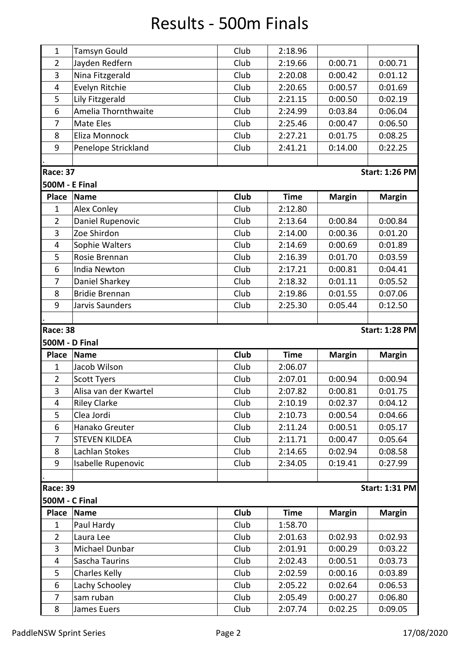## Results - 500m Finals

| $\mathbf{1}$                             | <b>Tamsyn Gould</b>   | Club        | 2:18.96     |               |                       |  |  |
|------------------------------------------|-----------------------|-------------|-------------|---------------|-----------------------|--|--|
| $\overline{2}$                           | Jayden Redfern        | Club        | 2:19.66     | 0:00.71       | 0:00.71               |  |  |
| 3                                        | Nina Fitzgerald       | Club        | 2:20.08     | 0:00.42       | 0:01.12               |  |  |
| $\overline{4}$                           | Evelyn Ritchie        | Club        | 2:20.65     | 0:00.57       | 0:01.69               |  |  |
| 5                                        | Lily Fitzgerald       | Club        | 2:21.15     | 0:00.50       | 0:02.19               |  |  |
| 6                                        | Amelia Thornthwaite   | Club        | 2:24.99     | 0:03.84       | 0:06.04               |  |  |
| 7                                        | <b>Mate Eles</b>      | Club        | 2:25.46     | 0:00.47       | 0:06.50               |  |  |
| 8                                        | Eliza Monnock         | Club        | 2:27.21     | 0:01.75       | 0:08.25               |  |  |
| 9                                        | Penelope Strickland   | Club        | 2:41.21     | 0:14.00       | 0:22.25               |  |  |
|                                          |                       |             |             |               |                       |  |  |
| <b>Race: 37</b>                          |                       |             |             |               | <b>Start: 1:26 PM</b> |  |  |
| <b>500M - E Final</b>                    |                       |             |             |               |                       |  |  |
| <b>Place</b>                             | <b>Name</b>           | Club        | <b>Time</b> | <b>Margin</b> | <b>Margin</b>         |  |  |
| $\mathbf{1}$                             | Alex Conley           | Club        | 2:12.80     |               |                       |  |  |
| $\overline{2}$                           | Daniel Rupenovic      | Club        | 2:13.64     | 0:00.84       | 0:00.84               |  |  |
| 3                                        | Zoe Shirdon           | Club        | 2:14.00     | 0:00.36       | 0:01.20               |  |  |
| 4                                        | Sophie Walters        | Club        | 2:14.69     | 0:00.69       | 0:01.89               |  |  |
| 5                                        | Rosie Brennan         | Club        | 2:16.39     | 0:01.70       | 0:03.59               |  |  |
| 6                                        | India Newton          | Club        | 2:17.21     | 0:00.81       | 0:04.41               |  |  |
| 7                                        | Daniel Sharkey        | Club        | 2:18.32     | 0:01.11       | 0:05.52               |  |  |
| 8                                        | <b>Bridie Brennan</b> | Club        | 2:19.86     | 0:01.55       | 0:07.06               |  |  |
| 9                                        | Jarvis Saunders       | Club        | 2:25.30     | 0:05.44       | 0:12.50               |  |  |
|                                          |                       |             |             |               |                       |  |  |
| <b>Race: 38</b><br><b>Start: 1:28 PM</b> |                       |             |             |               |                       |  |  |
|                                          |                       |             |             |               |                       |  |  |
|                                          | <b>500M - D Final</b> |             |             |               |                       |  |  |
| <b>Place</b>                             | <b>Name</b>           | Club        | <b>Time</b> | <b>Margin</b> | <b>Margin</b>         |  |  |
| $\mathbf{1}$                             | Jacob Wilson          | Club        | 2:06.07     |               |                       |  |  |
| $\overline{2}$                           | <b>Scott Tyers</b>    | Club        | 2:07.01     | 0:00.94       | 0:00.94               |  |  |
| 3                                        | Alisa van der Kwartel | Club        | 2:07.82     | 0:00.81       | 0:01.75               |  |  |
| 4                                        | <b>Riley Clarke</b>   | Club        | 2:10.19     | 0:02.37       | 0:04.12               |  |  |
| 5                                        | Clea Jordi            | Club        | 2:10.73     | 0:00.54       | 0:04.66               |  |  |
| 6                                        | Hanako Greuter        | Club        | 2:11.24     | 0:00.51       | 0:05.17               |  |  |
| $\overline{7}$                           | <b>STEVEN KILDEA</b>  | Club        | 2:11.71     | 0:00.47       | 0:05.64               |  |  |
| 8                                        | Lachlan Stokes        | Club        | 2:14.65     | 0:02.94       | 0:08.58               |  |  |
| 9                                        | Isabelle Rupenovic    | Club        | 2:34.05     | 0:19.41       | 0:27.99               |  |  |
|                                          |                       |             |             |               |                       |  |  |
| <b>Race: 39</b>                          |                       |             |             |               | <b>Start: 1:31 PM</b> |  |  |
| <b>500M - C Final</b>                    |                       |             |             |               |                       |  |  |
| Place                                    | <b>Name</b>           | <b>Club</b> | <b>Time</b> | <b>Margin</b> | <b>Margin</b>         |  |  |
| 1                                        | Paul Hardy            | Club        | 1:58.70     |               |                       |  |  |
| $\overline{2}$                           | Laura Lee             | Club        | 2:01.63     | 0:02.93       | 0:02.93               |  |  |
| 3                                        | Michael Dunbar        | Club        | 2:01.91     | 0:00.29       | 0:03.22               |  |  |
| $\overline{4}$                           | Sascha Taurins        | Club        | 2:02.43     | 0:00.51       | 0:03.73               |  |  |
| 5                                        | <b>Charles Kelly</b>  | Club        | 2:02.59     | 0:00.16       | 0:03.89               |  |  |
| 6                                        | Lachy Schooley        | Club        | 2:05.22     | 0:02.64       | 0:06.53               |  |  |
| $\overline{7}$                           | sam ruban             | Club        | 2:05.49     | 0:00.27       | 0:06.80               |  |  |